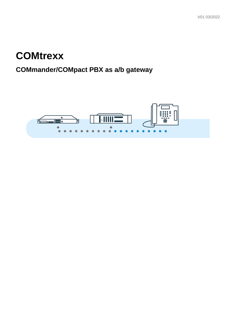### **COMtrexx**

### **COMmander/COMpact PBX as a/b gateway**

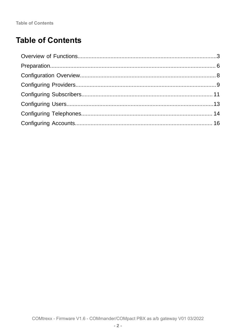**Table of Contents** 

### **Table of Contents**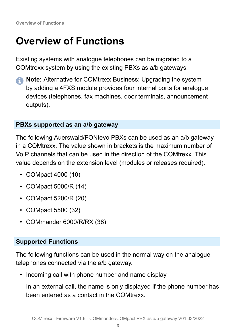**Overview of Functions**

### <span id="page-2-0"></span>**Overview of Functions**

Existing systems with analogue telephones can be migrated to a COMtrexx system by using the existing PBXs as a/b gateways.

**A** Note: Alternative for COMtrexx Business: Upgrading the system by adding a 4FXS module provides four internal ports for analogue devices (telephones, fax machines, door terminals, announcement outputs).

#### **PBXs supported as an a/b gateway**

The following Auerswald/FONtevo PBXs can be used as an a/b gateway in a COMtrexx. The value shown in brackets is the maximum number of VoIP channels that can be used in the direction of the COMtrexx. This value depends on the extension level (modules or releases required).

- COMpact 4000 (10)
- COMpact 5000/R (14)
- COMpact 5200/R (20)
- COMpact 5500 (32)
- COMmander 6000/R/RX (38)

#### **Supported Functions**

The following functions can be used in the normal way on the analogue telephones connected via the a/b gateway.

• Incoming call with phone number and name display

In an external call, the name is only displayed if the phone number has been entered as a contact in the COMtrexx.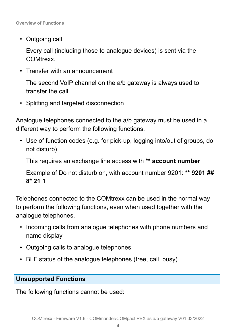• Outgoing call

Every call (including those to analogue devices) is sent via the COMtrexx.

• Transfer with an announcement

The second VoIP channel on the a/b gateway is always used to transfer the call.

• Splitting and targeted disconnection

Analogue telephones connected to the a/b gateway must be used in a different way to perform the following functions.

• Use of function codes (e.g. for pick-up, logging into/out of groups, do not disturb)

This requires an exchange line access with **\*\* account number**

Example of Do not disturb on, with account number 9201: **\*\* 9201 ## 8\* 21 1**

Telephones connected to the COMtrexx can be used in the normal way to perform the following functions, even when used together with the analogue telephones.

- Incoming calls from analogue telephones with phone numbers and name display
- Outgoing calls to analogue telephones
- BLF status of the analogue telephones (free, call, busy)

### **Unsupported Functions**

The following functions cannot be used: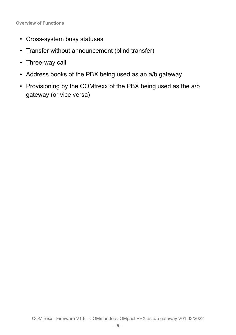**Overview of Functions**

- Cross-system busy statuses
- Transfer without announcement (blind transfer)
- Three-way call
- Address books of the PBX being used as an a/b gateway
- Provisioning by the COMtrexx of the PBX being used as the a/b gateway (or vice versa)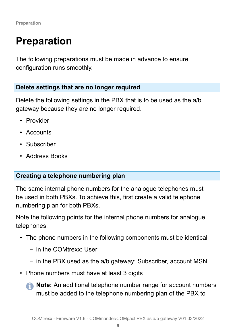### <span id="page-5-0"></span>**Preparation**

The following preparations must be made in advance to ensure configuration runs smoothly.

#### **Delete settings that are no longer required**

Delete the following settings in the PBX that is to be used as the a/b gateway because they are no longer required.

- Provider
- Accounts
- Subscriber
- Address Books

### **Creating a telephone numbering plan**

The same internal phone numbers for the analogue telephones must be used in both PBXs. To achieve this, first create a valid telephone numbering plan for both PBXs.

Note the following points for the internal phone numbers for analogue telephones:

- The phone numbers in the following components must be identical
	- − in the COMtrexx: User
	- − in the PBX used as the a/b gateway: Subscriber, account MSN
- Phone numbers must have at least 3 digits
	- **A** Note: An additional telephone number range for account numbers must be added to the telephone numbering plan of the PBX to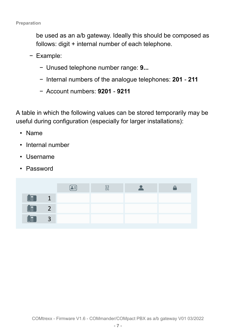be used as an a/b gateway. Ideally this should be composed as follows: digit + internal number of each telephone.

- − Example:
	- − Unused telephone number range: **9...**
	- − Internal numbers of the analogue telephones: **201 211**
	- − Account numbers: **9201 9211**

A table in which the following values can be stored temporarily may be useful during configuration (especially for larger installations):

- Name
- Internal number
- Username
- Password

|                               |   | -<br>≍ —<br>$\overline{}$ | 53 |  |
|-------------------------------|---|---------------------------|----|--|
| $\mathbb{U}$ .                | ٠ |                           |    |  |
| $\lfloor \frac{1}{2} \rfloor$ | ∽ |                           |    |  |
| $\mathbb{U}$ .                | 3 |                           |    |  |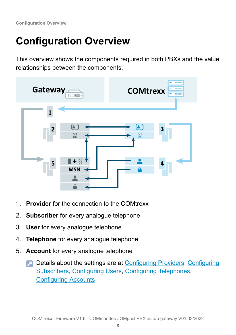**Configuration Overview**

## <span id="page-7-0"></span>**Configuration Overview**

This overview shows the components required in both PBXs and the value relationships between the components.



- 1. **Provider** for the connection to the COMtrexx
- 2. **Subscriber** for every analogue telephone
- 3. **User** for every analogue telephone
- 4. **Telephone** for every analogue telephone
- 5. **Account** for every analogue telephone
	- **Details about the settings are at [Configuring Providers,](#page-8-0) [Configuring](#page-10-0)** [Subscribers](#page-10-0), [Configuring Users](#page-12-0), Configuring [Telephones](#page-13-0), [Configuring Accounts](#page-15-0)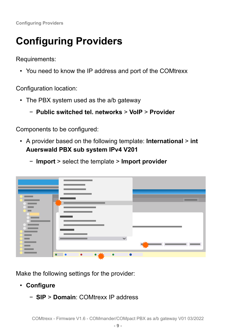**Configuring Providers**

### <span id="page-8-0"></span>**Configuring Providers**

Requirements:

• You need to know the IP address and port of the COMtrexx

Configuration location:

- The PBX system used as the a/b gateway
	- − **Public switched tel. networks** > **VoIP** > **Provider**

Components to be configured:

- A provider based on the following template: **International** > **int Auerswald PBX sub system IPv4 V201**
	- − **Import** > select the template > **Import provider**



Make the following settings for the provider:

- **Configure**
	- − **SIP** > **Domain**: COMtrexx IP address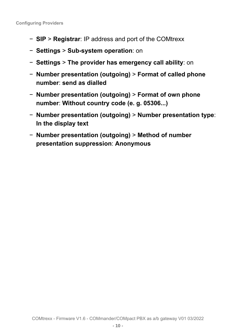- − **SIP** > **Registrar**: IP address and port of the COMtrexx
- − **Settings** > **Sub-system operation**: on
- − **Settings** > **The provider has emergency call ability**: on
- − **Number presentation (outgoing)** > **Format of called phone number**: **send as dialled**
- − **Number presentation (outgoing)** > **Format of own phone number**: **Without country code (e. g. 05306...)**
- − **Number presentation (outgoing)** > **Number presentation type**: **In the display text**
- − **Number presentation (outgoing)** > **Method of number presentation suppression**: **Anonymous**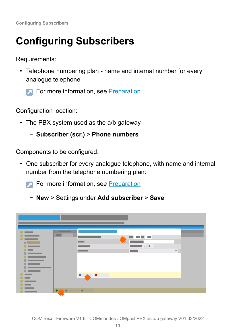**Configuring Subscribers**

## <span id="page-10-0"></span>**Configuring Subscribers**

Requirements:

- Telephone numbering plan name and internal number for every analogue telephone
	- For more information, see [Preparation](#page-5-0)

Configuration location:

- The PBX system used as the a/b gateway
	- − **Subscriber (scr.)** > **Phone numbers**

Components to be configured:

- One subscriber for every analogue telephone, with name and internal number from the telephone numbering plan:
	- **For more information, see [Preparation](#page-5-0)** 
		- − **New** > Settings under **Add subscriber** > **Save**

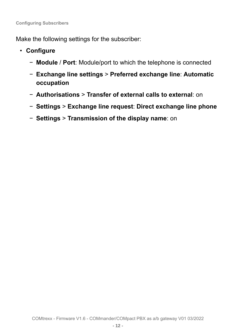Make the following settings for the subscriber:

- **Configure**
	- − **Module** / **Port**: Module/port to which the telephone is connected
	- − **Exchange line settings** > **Preferred exchange line**: **Automatic occupation**
	- − **Authorisations** > **Transfer of external calls to external**: on
	- − **Settings** > **Exchange line request**: **Direct exchange line phone**
	- − **Settings** > **Transmission of the display name**: on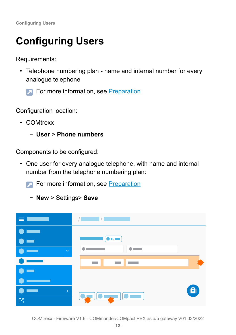# <span id="page-12-0"></span>**Configuring Users**

Requirements:

- Telephone numbering plan name and internal number for every analogue telephone
	- **For more information, see [Preparation](#page-5-0)**

Configuration location:

- COMtrexx
	- − **User** > **Phone numbers**

Components to be configured:

- One user for every analogue telephone, with name and internal number from the telephone numbering plan:
	- **For more information, see [Preparation](#page-5-0)** 
		- − **New** > Settings> **Save**

| $=$ $-$                         | $\mathcal{L}(\mathcal{L})$ and $\mathcal{L}(\mathcal{L})$ and $\mathcal{L}(\mathcal{L})$ and $\mathcal{L}(\mathcal{L})$ |                                                                   |
|---------------------------------|-------------------------------------------------------------------------------------------------------------------------|-------------------------------------------------------------------|
|                                 |                                                                                                                         |                                                                   |
|                                 | $\boxed{\bullet}$ in $\boxed{\bullet}$                                                                                  |                                                                   |
| $\checkmark$                    |                                                                                                                         |                                                                   |
|                                 |                                                                                                                         |                                                                   |
|                                 |                                                                                                                         |                                                                   |
| $\left\vert \cdot\right\rangle$ |                                                                                                                         | $\left( \begin{matrix}  \  \  \, \mathbf{E} \end{matrix} \right)$ |
| $\overline{\mathbb{C}}$         | <b>Quantical Communication</b>                                                                                          |                                                                   |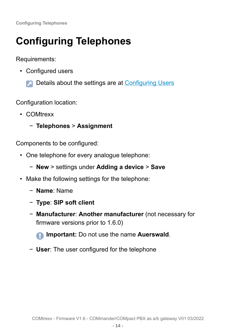# <span id="page-13-0"></span>**Configuring Telephones**

Requirements:

- Configured users
	- Details about the settings are at [Configuring Users](#page-12-0)  $\blacksquare$

Configuration location:

- COMtrexx
	- − **Telephones** > **Assignment**

Components to be configured:

- One telephone for every analogue telephone:
	- − **New** > settings under **Adding a device** > **Save**
- Make the following settings for the telephone:
	- − **Name**: Name
	- − **Type**: **SIP soft client**
	- − **Manufacturer**: **Another manufacturer** (not necessary for firmware versions prior to 1.6.0)

**Important:** Do not use the name **Auerswald**.

− **User**: The user configured for the telephone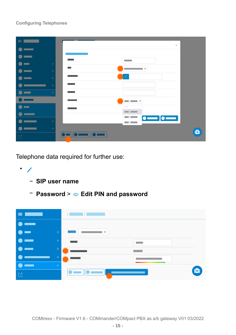#### **Configuring Telephones**

| $\equiv$      | $\times$                       |                |
|---------------|--------------------------------|----------------|
|               |                                |                |
|               |                                |                |
| $\rightarrow$ | <b>COL</b>                     |                |
| $\rightarrow$ | ⊩                              |                |
| $\rightarrow$ |                                |                |
| 5             |                                |                |
| $\checkmark$  |                                |                |
|               | $\overline{\phantom{a}}$<br>∣≑ |                |
|               | $\sim$ $\sim$<br>$\equiv$      |                |
|               | $\bullet$ $\qquad$             |                |
| $\rightarrow$ | $\Box$                         |                |
| $\,$          | -- 10 --                       | $\blacksquare$ |
| $\mathbb{C}$  | <b>Ow</b>                      |                |

Telephone data required for further use:

- /
	- − **SIP user name**
	- − **Password** > **Edit PIN and password**

| $\equiv$ 1                            |                             | $\sqrt{2}$                                              |  |
|---------------------------------------|-----------------------------|---------------------------------------------------------|--|
|                                       |                             |                                                         |  |
| $\bullet$<br>$\overline{\phantom{a}}$ | $\mathcal{P}^{\mathcal{P}}$ | $\eta_{\rm c} \neq 0$                                   |  |
| ╼<br>$\bullet$                        | D.                          |                                                         |  |
|                                       | D.                          |                                                         |  |
|                                       |                             |                                                         |  |
|                                       | $\checkmark$                |                                                         |  |
| $\overline{\mathbb{C}}$               |                             | (6)<br>$\mathbf{10}$ and $\mathbf{P}$<br>$\circ$ $\Box$ |  |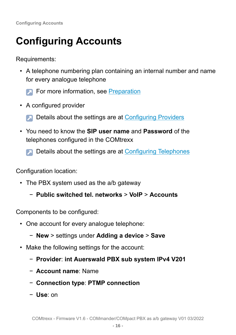# <span id="page-15-0"></span>**Configuring Accounts**

Requirements:

• A telephone numbering plan containing an internal number and name for every analogue telephone

**For more information, see [Preparation](#page-5-0)** 

- A configured provider
	- **Details about the settings are at [Configuring Providers](#page-8-0)**
- You need to know the **SIP user name** and **Password** of the telephones configured in the COMtrexx
	- **Details about the settings are at [Configuring](#page-13-0) Telephones**

Configuration location:

- The PBX system used as the a/b gateway
	- − **Public switched tel. networks** > **VoIP** > **Accounts**

Components to be configured:

- One account for every analogue telephone:
	- − **New** > settings under **Adding a device** > **Save**
- Make the following settings for the account:
	- − **Provider**: **int Auerswald PBX sub system IPv4 V201**
	- − **Account name**: Name
	- − **Connection type**: **PTMP connection**
	- − **Use**: on